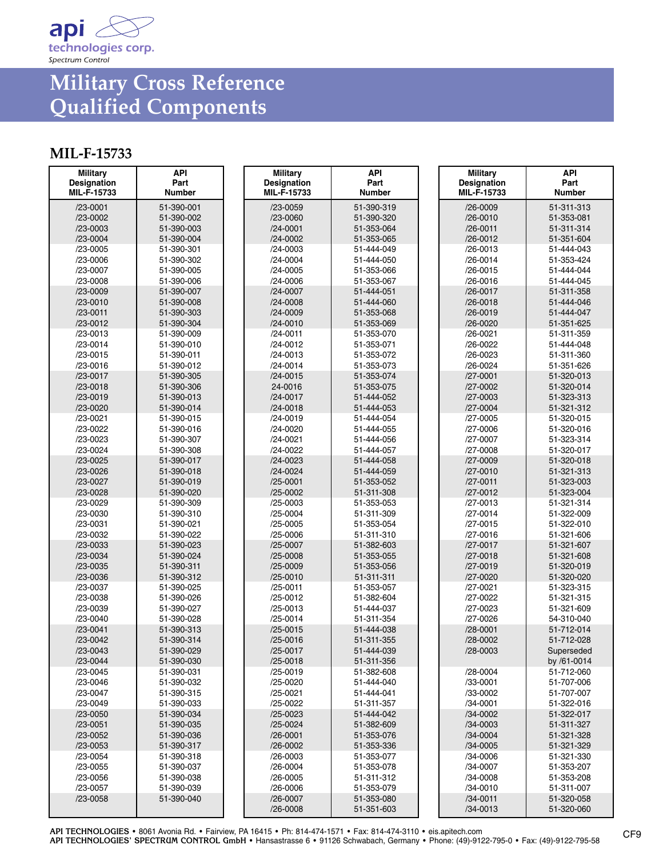

# **Military Cross Reference Qualified Components**

### **MIL-F-15733**

| <b>Military</b><br>Designation<br>MIL-F-15733 | API<br>Part<br><b>Number</b> | <b>Military</b><br><b>Designation</b><br>MIL-F-15733 | API<br>Part<br><b>Number</b> | <b>Military</b><br><b>Designation</b><br>MIL-F-15733 | <b>API</b><br>Part<br>Number |
|-----------------------------------------------|------------------------------|------------------------------------------------------|------------------------------|------------------------------------------------------|------------------------------|
| $/23 - 0001$                                  | 51-390-001                   | $/23 - 0059$                                         | 51-390-319                   | $/26 - 0009$                                         | 51-311-313                   |
| /23-0002                                      | 51-390-002                   | $/23 - 0060$                                         | 51-390-320                   | $/26 - 0010$                                         | 51-353-081                   |
| $/23 - 0003$                                  | 51-390-003                   | $/24 - 0001$                                         | 51-353-064                   | $/26 - 0011$                                         | 51-311-314                   |
| $/23 - 0004$                                  | 51-390-004                   | /24-0002                                             | 51-353-065                   | $/26 - 0012$                                         | 51-351-604                   |
| $/23 - 0005$                                  | 51-390-301                   | $/24 - 0003$                                         | 51-444-049                   | /26-0013                                             | 51-444-043                   |
| /23-0006                                      | 51-390-302                   | $/24 - 0004$                                         | 51-444-050                   | $/26 - 0014$                                         | 51-353-424                   |
| /23-0007                                      | 51-390-005                   | $/24 - 0005$                                         | 51-353-066                   | $/26 - 0015$                                         | 51-444-044                   |
| /23-0008                                      | 51-390-006                   | $/24 - 0006$                                         | 51-353-067                   | /26-0016                                             | 51-444-045                   |
| $/23 - 0009$                                  | 51-390-007                   | $/24 - 0007$                                         | 51-444-051                   | $/26 - 0017$                                         | 51-311-358                   |
| $/23 - 0010$                                  | 51-390-008                   | $/24 - 0008$                                         | 51-444-060                   | $/26 - 0018$                                         | 51-444-046                   |
| $/23 - 0011$                                  | 51-390-303                   | $/24 - 0009$                                         | 51-353-068                   | $/26 - 0019$                                         | 51-444-047                   |
| $/23 - 0012$                                  | 51-390-304                   | $/24 - 0010$                                         | 51-353-069                   | /26-0020                                             | 51-351-625                   |
| $/23 - 0013$                                  | 51-390-009                   | $/24 - 0011$                                         | 51-353-070                   | /26-0021                                             | 51-311-359                   |
| $/23 - 0014$                                  | 51-390-010                   | $/24 - 0012$                                         | 51-353-071                   | /26-0022                                             | 51-444-048                   |
| $/23 - 0015$                                  | 51-390-011                   | $/24 - 0013$                                         | 51-353-072                   | /26-0023                                             | 51-311-360                   |
| /23-0016                                      | 51-390-012                   | $/24 - 0014$                                         | 51-353-073                   | /26-0024                                             | 51-351-626                   |
| $/23 - 0017$                                  | 51-390-305                   | $/24 - 0015$                                         | 51-353-074                   | $/27 - 0001$                                         | 51-320-013                   |
| $/23 - 0018$                                  | 51-390-306                   | 24-0016                                              | 51-353-075                   | /27-0002                                             | 51-320-014                   |
| $/23 - 0019$                                  | 51-390-013                   | $/24 - 0017$                                         | 51-444-052                   | $/27 - 0003$                                         | 51-323-313                   |
| /23-0020                                      | 51-390-014                   | $/24 - 0018$                                         | 51-444-053                   | $/27 - 0004$                                         | 51-321-312                   |
| /23-0021<br>/23-0022                          | 51-390-015<br>51-390-016     | $/24 - 0019$<br>/24-0020                             | 51-444-054<br>51-444-055     | /27-0005<br>/27-0006                                 | 51-320-015<br>51-320-016     |
| /23-0023                                      | 51-390-307                   | /24-0021                                             | 51-444-056                   | /27-0007                                             | 51-323-314                   |
| /23-0024                                      | 51-390-308                   | /24-0022                                             | 51-444-057                   | /27-0008                                             | 51-320-017                   |
| /23-0025                                      | 51-390-017                   | /24-0023                                             | 51-444-058                   | /27-0009                                             | 51-320-018                   |
| /23-0026                                      | 51-390-018                   | $/24 - 0024$                                         | 51-444-059                   | $/27 - 0010$                                         | 51-321-313                   |
| /23-0027                                      | 51-390-019                   | $/25 - 0001$                                         | 51-353-052                   | $/27 - 0011$                                         | 51-323-003                   |
| /23-0028                                      | 51-390-020                   | $/25 - 0002$                                         | 51-311-308                   | $/27 - 0012$                                         | 51-323-004                   |
| /23-0029                                      | 51-390-309                   | $/25 - 0003$                                         | 51-353-053                   | $/27 - 0013$                                         | 51-321-314                   |
| /23-0030                                      | 51-390-310                   | /25-0004                                             | 51-311-309                   | $/27 - 0014$                                         | 51-322-009                   |
| /23-0031                                      | 51-390-021                   | $/25 - 0005$                                         | 51-353-054                   | $/27 - 0015$                                         | 51-322-010                   |
| /23-0032                                      | 51-390-022                   | $/25 - 0006$                                         | 51-311-310                   | /27-0016                                             | 51-321-606                   |
| $/23 - 0033$                                  | 51-390-023                   | $/25 - 0007$                                         | 51-382-603                   | /27-0017                                             | 51-321-607                   |
| $/23 - 0034$                                  | 51-390-024                   | $/25 - 0008$                                         | 51-353-055                   | $/27 - 0018$                                         | 51-321-608                   |
| $/23 - 0035$                                  | 51-390-311                   | $/25 - 0009$                                         | 51-353-056                   | $/27 - 0019$                                         | 51-320-019                   |
| /23-0036                                      | 51-390-312                   | /25-0010                                             | 51-311-311                   | /27-0020                                             | 51-320-020                   |
| /23-0037                                      | 51-390-025                   | $/25 - 0011$                                         | 51-353-057                   | /27-0021                                             | 51-323-315                   |
| /23-0038                                      | 51-390-026                   | /25-0012                                             | 51-382-604                   | /27-0022                                             | 51-321-315                   |
| /23-0039                                      | 51-390-027                   | $/25 - 0013$                                         | 51-444-037                   | /27-0023                                             | 51-321-609                   |
| /23-0040                                      | 51-390-028                   | /25-0014                                             | 51-311-354                   | /27-0026                                             | 54-310-040                   |
| $/23 - 0041$                                  | 51-390-313                   | $/25 - 0015$                                         | 51-444-038                   | $/28 - 0001$                                         | 51-712-014                   |
| /23-0042                                      | 51-390-314                   | $/25 - 0016$                                         | 51-311-355                   | /28-0002                                             | 51-712-028                   |
| /23-0043                                      | 51-390-029                   | $/25 - 0017$                                         | 51-444-039                   | $/28 - 0003$                                         | Superseded                   |
| $/23 - 0044$                                  | 51-390-030                   | $/25 - 0018$                                         | 51-311-356                   |                                                      | by /61-0014                  |
| /23-0045                                      | 51-390-031                   | $/25 - 0019$                                         | 51-382-608                   | /28-0004                                             | 51-712-060                   |
| /23-0046                                      | 51-390-032<br>51-390-315     | /25-0020                                             | 51-444-040                   | /33-0001                                             | 51-707-006                   |
| /23-0047                                      |                              | $/25 - 0021$<br>/25-0022                             | 51-444-041                   | /33-0002                                             | 51-707-007                   |
| /23-0049<br>$/23 - 0050$                      | 51-390-033<br>51-390-034     | $/25 - 0023$                                         | 51-311-357<br>51-444-042     | /34-0001<br>/34-0002                                 | 51-322-016<br>51-322-017     |
| $/23 - 0051$                                  | 51-390-035                   | $/25 - 0024$                                         | 51-382-609                   | $/34 - 0003$                                         | 51-311-327                   |
| /23-0052                                      | 51-390-036                   | $/26 - 0001$                                         | 51-353-076                   | $/34 - 0004$                                         | 51-321-328                   |
| $/23 - 0053$                                  | 51-390-317                   | /26-0002                                             | 51-353-336                   | /34-0005                                             | 51-321-329                   |
| /23-0054                                      | 51-390-318                   | $/26 - 0003$                                         | 51-353-077                   | /34-0006                                             | 51-321-330                   |
| $/23 - 0055$                                  | 51-390-037                   | /26-0004                                             | 51-353-078                   | /34-0007                                             | 51-353-207                   |
| /23-0056                                      | 51-390-038                   | $/26 - 0005$                                         | 51-311-312                   | /34-0008                                             | 51-353-208                   |
| /23-0057                                      | 51-390-039                   | /26-0006                                             | 51-353-079                   | /34-0010                                             | 51-311-007                   |
| /23-0058                                      | 51-390-040                   | /26-0007                                             | 51-353-080                   | $/34 - 0011$                                         | 51-320-058                   |
|                                               |                              | $/26 - 0008$                                         | 51-351-603                   | $/34 - 0013$                                         | 51-320-060                   |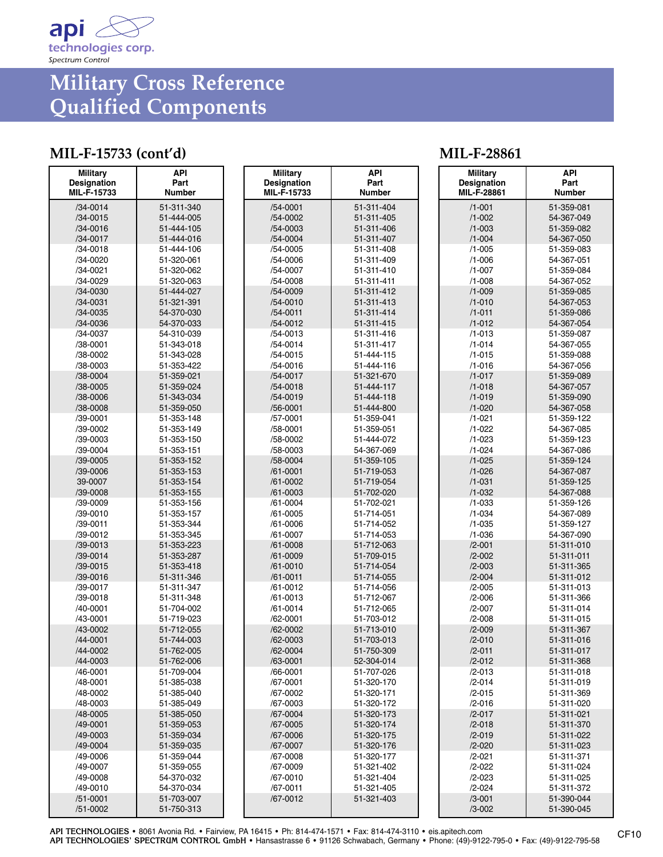

## **Military Cross Reference Qualified Components**

### **MIL-F-15733 (cont'd) MIL-F-28861**

| <b>Military</b><br><b>Designation</b><br>MIL-F-15733 | <b>API</b><br>Part<br><b>Number</b> | <b>Military</b><br><b>Designation</b><br>MIL-F-15733 | API<br>Part<br><b>Number</b> | <b>Military</b><br><b>Designation</b><br>MIL-F-28861 |  |
|------------------------------------------------------|-------------------------------------|------------------------------------------------------|------------------------------|------------------------------------------------------|--|
| $/34 - 0014$                                         | 51-311-340                          | /54-0001                                             | 51-311-404                   | $/1 - 001$                                           |  |
| $/34 - 0015$                                         | 51-444-005                          | /54-0002                                             | 51-311-405                   | $/1 - 002$                                           |  |
| $/34 - 0016$                                         | 51-444-105                          | /54-0003                                             | 51-311-406                   | $/1 - 003$                                           |  |
| /34-0017                                             | 51-444-016                          | /54-0004                                             | 51-311-407                   | $/1 - 004$                                           |  |
| /34-0018                                             | 51-444-106                          | /54-0005                                             | 51-311-408                   | $/1 - 005$                                           |  |
| /34-0020                                             | 51-320-061                          | /54-0006                                             | 51-311-409                   | $/1 - 006$                                           |  |
| /34-0021                                             | 51-320-062                          | /54-0007                                             | 51-311-410                   | $/1 - 007$                                           |  |
| /34-0029                                             | 51-320-063                          | /54-0008                                             | 51-311-411                   | $/1 - 008$                                           |  |
| /34-0030                                             | 51-444-027                          | /54-0009                                             | 51-311-412                   | $/1 - 009$                                           |  |
| $/34 - 0031$                                         | 51-321-391                          | $/54 - 0010$                                         | 51-311-413                   | $/1 - 010$                                           |  |
| /34-0035                                             | 54-370-030                          | /54-0011                                             | 51-311-414                   | $/1 - 011$                                           |  |
| /34-0036                                             | 54-370-033                          | /54-0012                                             | 51-311-415                   | $/1 - 012$                                           |  |
| /34-0037                                             | 54-310-039                          | /54-0013                                             | 51-311-416                   | $/1 - 013$                                           |  |
| /38-0001                                             | 51-343-018                          | /54-0014                                             | 51-311-417                   | $/1 - 014$                                           |  |
| /38-0002                                             | 51-343-028                          | $/54 - 0015$                                         | 51-444-115                   | $/1 - 015$                                           |  |
| /38-0003                                             | 51-353-422                          | /54-0016                                             | 51-444-116                   | $/1 - 016$                                           |  |
| /38-0004                                             | 51-359-021                          | /54-0017                                             | 51-321-670                   | $/1 - 017$                                           |  |
| /38-0005                                             | 51-359-024                          | $/54 - 0018$                                         | 51-444-117                   | $/1 - 018$                                           |  |
| /38-0006                                             | 51-343-034                          | /54-0019                                             | 51-444-118                   | $/1 - 019$                                           |  |
| /38-0008                                             | 51-359-050                          | $/56 - 0001$                                         | 51-444-800                   | $/1 - 020$                                           |  |
| /39-0001                                             | 51-353-148                          | /57-0001                                             | 51-359-041                   | $/1 - 021$                                           |  |
| /39-0002                                             | 51-353-149                          | /58-0001                                             | 51-359-051                   | $/1 - 022$                                           |  |
| /39-0003                                             | 51-353-150                          | /58-0002                                             | 51-444-072                   | $/1 - 023$                                           |  |
| /39-0004                                             | 51-353-151                          | /58-0003                                             | 54-367-069                   | $/1 - 024$                                           |  |
| /39-0005                                             | 51-353-152                          | /58-0004                                             | 51-359-105                   | $/1 - 025$                                           |  |
| /39-0006                                             | 51-353-153                          | $/61 - 0001$                                         | 51-719-053                   | $/1 - 026$                                           |  |
| 39-0007                                              | 51-353-154                          | /61-0002                                             | 51-719-054                   | $/1 - 031$                                           |  |
| /39-0008                                             | 51-353-155                          | /61-0003                                             | 51-702-020                   | $/1 - 032$                                           |  |
| /39-0009                                             | 51-353-156                          | /61-0004                                             | 51-702-021                   | $/1 - 033$                                           |  |
| /39-0010                                             | 51-353-157                          | /61-0005                                             | 51-714-051                   | $/1 - 034$                                           |  |
| /39-0011                                             | 51-353-344                          | /61-0006                                             | 51-714-052                   | $/1 - 035$                                           |  |
| /39-0012                                             | 51-353-345                          | /61-0007                                             | 51-714-053                   | $/1 - 036$                                           |  |
| /39-0013                                             | 51-353-223                          | /61-0008                                             | 51-712-063                   | $/2 - 001$                                           |  |
| /39-0014                                             | 51-353-287                          | /61-0009                                             | 51-709-015                   | $/2 - 002$                                           |  |
| /39-0015                                             | 51-353-418                          | $/61 - 0010$                                         | 51-714-054                   | $/2 - 003$                                           |  |
| /39-0016                                             | 51-311-346                          | $/61 - 0011$                                         | 51-714-055                   | $/2 - 004$                                           |  |
| /39-0017                                             | 51-311-347                          | /61-0012                                             | 51-714-056                   | $/2 - 005$                                           |  |
| /39-0018                                             | 51-311-348                          | /61-0013                                             | 51-712-067                   | $/2 - 006$<br>$/2 - 007$                             |  |
| /40-0001<br>/43-0001                                 | 51-704-002<br>51-719-023            | /61-0014<br>/62-0001                                 | 51-712-065<br>51-703-012     | $/2 - 008$                                           |  |
| /43-0002                                             | 51-712-055                          | /62-0002                                             | 51-713-010                   | $/2 - 009$                                           |  |
| /44-0001                                             | 51-744-003                          | /62-0003                                             | 51-703-013                   | $/2 - 010$                                           |  |
| /44-0002                                             | 51-762-005                          | /62-0004                                             | 51-750-309                   | $/2 - 011$                                           |  |
| /44-0003                                             | 51-762-006                          | /63-0001                                             | 52-304-014                   | $/2 - 012$                                           |  |
| /46-0001                                             | 51-709-004                          | /66-0001                                             | 51-707-026                   | $/2 - 013$                                           |  |
| /48-0001                                             | 51-385-038                          | /67-0001                                             | 51-320-170                   | $/2 - 014$                                           |  |
| /48-0002                                             | 51-385-040                          | /67-0002                                             | 51-320-171                   | $/2 - 015$                                           |  |
| /48-0003                                             | 51-385-049                          | /67-0003                                             | 51-320-172                   | $/2 - 016$                                           |  |
| /48-0005                                             | 51-385-050                          | /67-0004                                             | 51-320-173                   | $/2 - 017$                                           |  |
| /49-0001                                             | 51-359-053                          | /67-0005                                             | 51-320-174                   | $/2 - 018$                                           |  |
| /49-0003                                             | 51-359-034                          | /67-0006                                             | 51-320-175                   | $/2 - 019$                                           |  |
| /49-0004                                             | 51-359-035                          | /67-0007                                             | 51-320-176                   | $/2 - 020$                                           |  |
| /49-0006                                             | 51-359-044                          | /67-0008                                             | 51-320-177                   | $/2 - 021$                                           |  |
| /49-0007                                             | 51-359-055                          | /67-0009                                             | 51-321-402                   | $/2 - 022$                                           |  |
| /49-0008                                             | 54-370-032                          | /67-0010                                             | 51-321-404                   | $/2 - 023$                                           |  |
| /49-0010                                             | 54-370-034                          | /67-0011                                             | 51-321-405                   | $/2 - 024$                                           |  |
| $/51 - 0001$                                         | 51-703-007                          | /67-0012                                             | 51-321-403                   | $/3 - 001$                                           |  |
| /51-0002                                             | 51-750-313                          |                                                      |                              | $/3 - 002$                                           |  |

/1-001 51-359-081 54-367-049 51-359-082 54-367-050 51-359-083 54-367-051 51-359-084 54-367-052 /1-009 51-359-085 54-367-053 51-359-086 54-367-054 51-359-087 54-367-055 51-359-088 54-367-056 51-359-089 54-367-057 /1-019 51-359-090 54-367-058 51-359-122 54-367-085 /1-023 51-359-123 54-367-086 /1-025 51-359-124 54-367-087 /1-031 51-359-125 54-367-088 /1-033 51-359-126 54-367-089 51-359-127 54-367-090 51-311-010 /2-002 51-311-011 51-311-365 /2-004 51-311-012 51-311-013 /2-006 51-311-366 /2-007 51-311-014 /2-008 51-311-015 51-311-367 /2-010 51-311-016 /2-011 51-311-017 /2-012 51-311-368 /2-013 51-311-018 /2-014 51-311-019 51-311-369 /2-016 51-311-020 /2-017 51-311-021 /2-018 51-311-370 /2-019 51-311-022 /2-020 51-311-023 /2-021 51-311-371 /2-022 51-311-024 /2-023 51-311-025 /2-024 51-311-372 /3-001 51-390-044 51-390-045

**API Part Number**